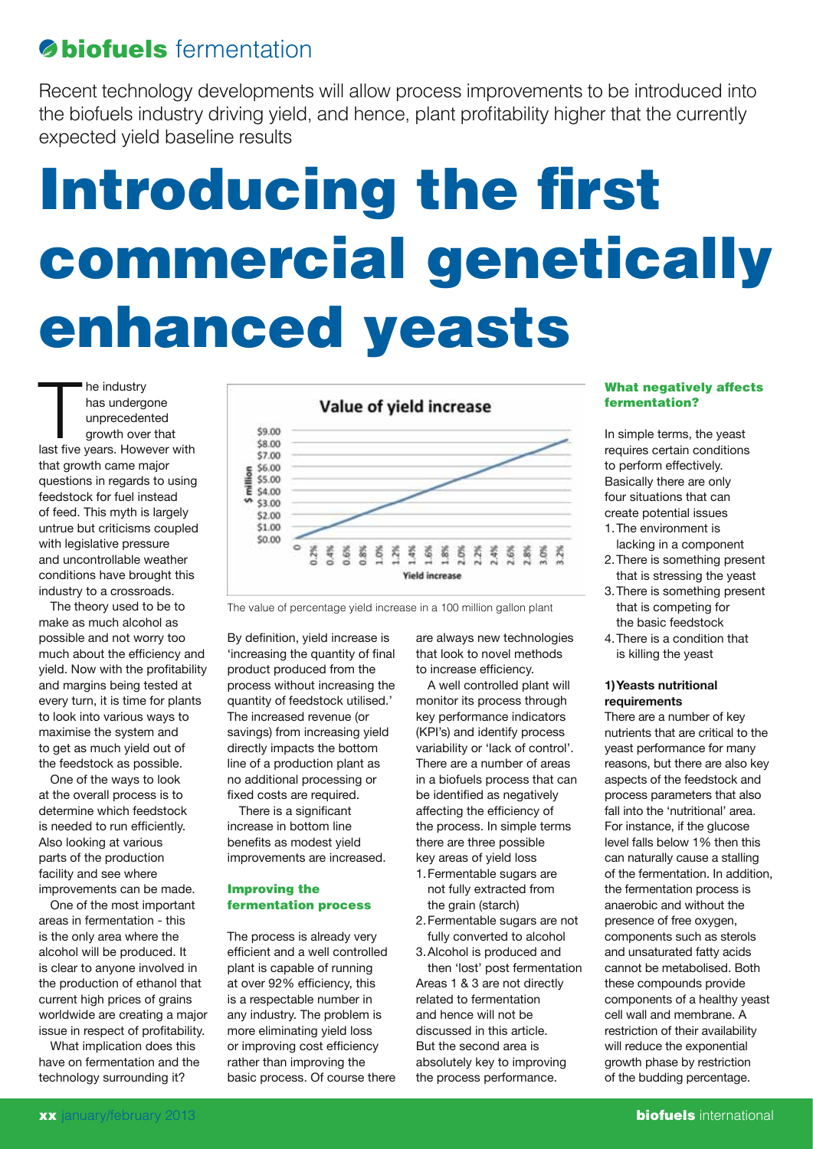# *S* **biofuels** fermentation

Recent technology developments will allow process improvements to be introduced into the biofuels industry driving yield, and hence, plant profitability higher that the currently expected yield baseline results

# Introducing the first commercial genetically enhanced yeasts

The industry<br>
has undergone<br>
unprecedented<br>
growth over that<br>
last five years. However with he industry has undergone unprecedented growth over that that growth came major questions in regards to using feedstock for fuel instead of feed. This myth is largely untrue but criticisms coupled with legislative pressure and uncontrollable weather conditions have brought this industry to a crossroads.

The theory used to be to make as much alcohol as possible and not worry too much about the efficiency and yield. Now with the profitability and margins being tested at every turn, it is time for plants to look into various ways to maximise the system and to get as much yield out of the feedstock as possible.

One of the ways to look at the overall process is to determine which feedstock is needed to run efficiently. Also looking at various parts of the production facility and see where improvements can be made.

One of the most important areas in fermentation - this is the only area where the alcohol will be produced. It is clear to anyone involved in the production of ethanol that current high prices of grains worldwide are creating a major issue in respect of profitability.

What implication does this have on fermentation and the technology surrounding it?



The value of percentage yield increase in a 100 million gallon plant

By definition, yield increase is 'increasing the quantity of final product produced from the process without increasing the quantity of feedstock utilised.' The increased revenue (or savings) from increasing yield directly impacts the bottom line of a production plant as no additional processing or fixed costs are required.

There is a significant increase in bottom line benefits as modest yield improvements are increased.

# Improving the fermentation process

The process is already very efficient and a well controlled plant is capable of running at over 92% efficiency, this is a respectable number in any industry. The problem is more eliminating yield loss or improving cost efficiency rather than improving the basic process. Of course there are always new technologies that look to novel methods to increase efficiency.

A well controlled plant will monitor its process through key performance indicators (KPI's) and identify process variability or 'lack of control'. There are a number of areas in a biofuels process that can be identified as negatively affecting the efficiency of the process. In simple terms there are three possible key areas of yield loss

- 1.Fermentable sugars are not fully extracted from the grain (starch)
- 2.Fermentable sugars are not fully converted to alcohol
- 3.Alcohol is produced and then 'lost' post fermentation Areas 1 & 3 are not directly related to fermentation and hence will not be discussed in this article. But the second area is absolutely key to improving the process performance.

## What negatively affects fermentation?

In simple terms, the yeast requires certain conditions to perform effectively. Basically there are only four situations that can create potential issues

- 1.The environment is lacking in a component
- 2.There is something present that is stressing the yeast
- 3.There is something present that is competing for the basic feedstock
- 4.There is a condition that is killing the yeast

# **1)Yeasts nutritional requirements**

There are a number of key nutrients that are critical to the yeast performance for many reasons, but there are also key aspects of the feedstock and process parameters that also fall into the 'nutritional' area. For instance, if the glucose level falls below 1% then this can naturally cause a stalling of the fermentation. In addition, the fermentation process is anaerobic and without the presence of free oxygen, components such as sterols and unsaturated fatty acids cannot be metabolised. Both these compounds provide components of a healthy yeast cell wall and membrane. A restriction of their availability will reduce the exponential growth phase by restriction of the budding percentage.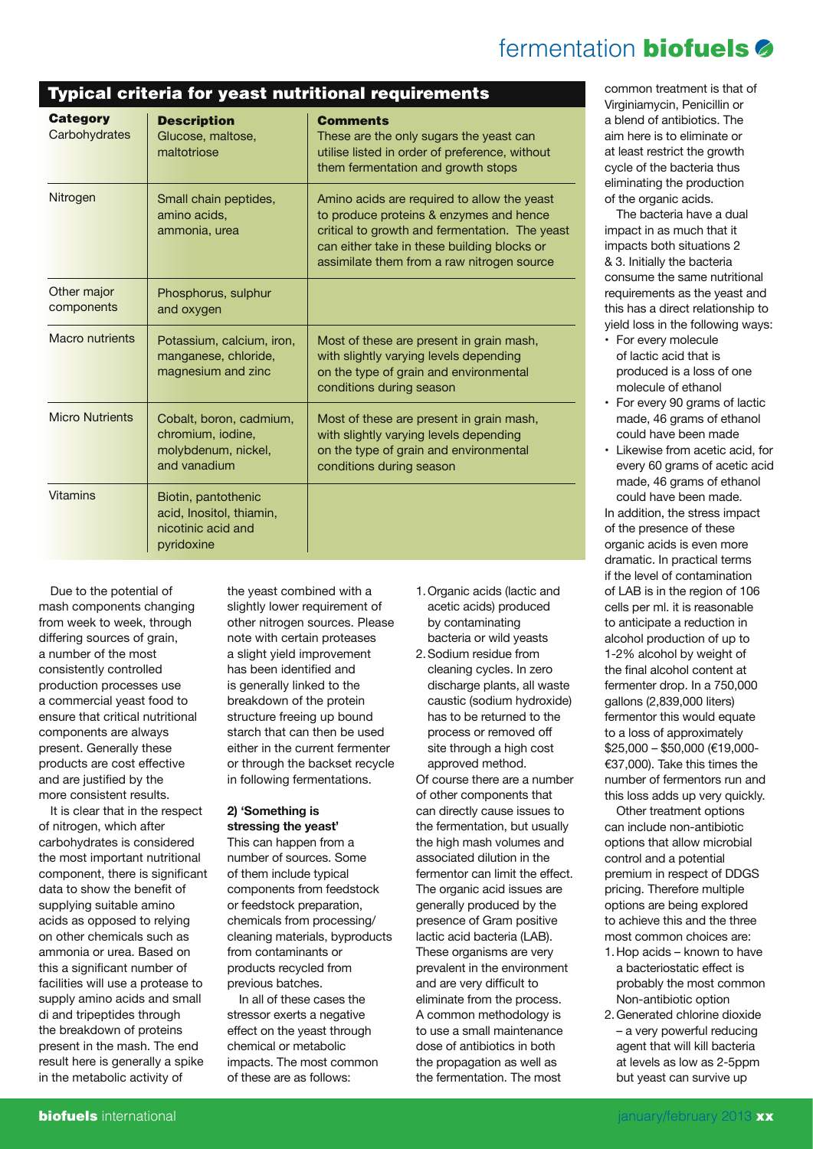# fermentation **biofuels**

#### Typical criteria for yeast nutritional requirements **Category Carbohydrates Nitrogen** Other major components Macro nutrients Micro Nutrients Vitamins **Description** Glucose, maltose, maltotriose Small chain peptides, amino acids, ammonia, urea Phosphorus, sulphur and oxygen Potassium, calcium, iron, manganese, chloride, magnesium and zinc Cobalt, boron, cadmium, chromium, iodine, molybdenum, nickel, and vanadium Biotin, pantothenic acid, Inositol, thiamin, nicotinic acid and pyridoxine **Comments** These are the only sugars the yeast can utilise listed in order of preference, without them fermentation and growth stops Amino acids are required to allow the yeast to produce proteins & enzymes and hence critical to growth and fermentation. The yeast can either take in these building blocks or assimilate them from a raw nitrogen source Most of these are present in grain mash, with slightly varying levels depending on the type of grain and environmental conditions during season Most of these are present in grain mash, with slightly varying levels depending on the type of grain and environmental conditions during season

Due to the potential of mash components changing from week to week, through differing sources of grain, a number of the most consistently controlled production processes use a commercial yeast food to ensure that critical nutritional components are always present. Generally these products are cost effective and are justified by the more consistent results.

It is clear that in the respect of nitrogen, which after carbohydrates is considered the most important nutritional component, there is significant data to show the benefit of supplying suitable amino acids as opposed to relying on other chemicals such as ammonia or urea. Based on this a significant number of facilities will use a protease to supply amino acids and small di and tripeptides through the breakdown of proteins present in the mash. The end result here is generally a spike in the metabolic activity of

the yeast combined with a slightly lower requirement of other nitrogen sources. Please note with certain proteases a slight yield improvement has been identified and is generally linked to the breakdown of the protein structure freeing up bound starch that can then be used either in the current fermenter or through the backset recycle in following fermentations.

## **2) 'Something is stressing the yeast'**

This can happen from a number of sources. Some of them include typical components from feedstock or feedstock preparation, chemicals from processing/ cleaning materials, byproducts from contaminants or products recycled from previous batches.

In all of these cases the stressor exerts a negative effect on the yeast through chemical or metabolic impacts. The most common of these are as follows:

- 1.Organic acids (lactic and acetic acids) produced by contaminating bacteria or wild yeasts
- 2.Sodium residue from cleaning cycles. In zero discharge plants, all waste caustic (sodium hydroxide) has to be returned to the process or removed off site through a high cost approved method. Of course there are a number of other components that can directly cause issues to the fermentation, but usually the high mash volumes and associated dilution in the fermentor can limit the effect. The organic acid issues are generally produced by the presence of Gram positive lactic acid bacteria (LAB). These organisms are very prevalent in the environment and are very difficult to eliminate from the process. A common methodology is to use a small maintenance dose of antibiotics in both the propagation as well as

the fermentation. The most

common treatment is that of Virginiamycin, Penicillin or a blend of antibiotics. The aim here is to eliminate or at least restrict the growth cycle of the bacteria thus eliminating the production of the organic acids.

The bacteria have a dual impact in as much that it impacts both situations 2 & 3. Initially the bacteria consume the same nutritional requirements as the yeast and this has a direct relationship to yield loss in the following ways:

- For every molecule of lactic acid that is produced is a loss of one molecule of ethanol
- For every 90 grams of lactic made, 46 grams of ethanol could have been made
- Likewise from acetic acid, for every 60 grams of acetic acid made, 46 grams of ethanol could have been made.

In addition, the stress impact of the presence of these organic acids is even more dramatic. In practical terms if the level of contamination of LAB is in the region of 106 cells per ml. it is reasonable to anticipate a reduction in alcohol production of up to 1-2% alcohol by weight of the final alcohol content at fermenter drop. In a 750,000 gallons (2,839,000 liters) fermentor this would equate to a loss of approximately \$25,000 – \$50,000 (€19,000- €37,000). Take this times the number of fermentors run and this loss adds up very quickly.

Other treatment options can include non-antibiotic options that allow microbial control and a potential premium in respect of DDGS pricing. Therefore multiple options are being explored to achieve this and the three most common choices are:

- 1.Hop acids known to have a bacteriostatic effect is probably the most common Non-antibiotic option
- 2.Generated chlorine dioxide – a very powerful reducing agent that will kill bacteria at levels as low as 2-5ppm but yeast can survive up